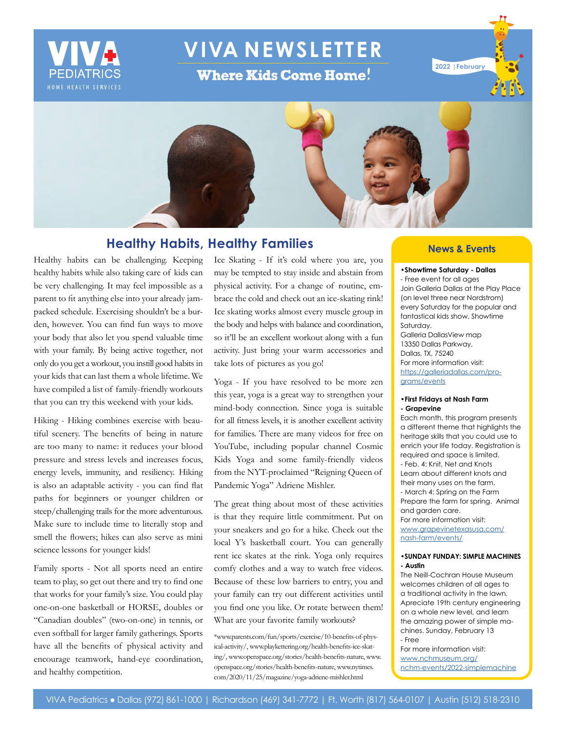

# **VIVA NEWSLETTER**

**Where Kids Come Home!** 





# **Healthy Habits, Healthy Families**

Healthy habits can be challenging. Keeping healthy habits while also taking care of kids can be very challenging. It may feel impossible as a parent to fit anything else into your already jampacked schedule. Exercising shouldn't be a burden, however. You can find fun ways to move your body that also let you spend valuable time with your family. By being active together, not only do you get a workout, you instill good habits in your kids that can last them a whole lifetime. We have compiled a list of family-friendly workouts that you can try this weekend with your kids.

Hiking - Hiking combines exercise with beautiful scenery. The benefits of being in nature are too many to name: it reduces your blood pressure and stress levels and increases focus, energy levels, immunity, and resiliency. Hiking is also an adaptable activity - you can find flat paths for beginners or younger children or steep/challenging trails for the more adventurous. Make sure to include time to literally stop and smell the flowers; hikes can also serve as mini science lessons for younger kids!

Family sports - Not all sports need an entire team to play, so get out there and try to find one that works for your family's size. You could play one-on-one basketball or HORSE, doubles or "Canadian doubles" (two-on-one) in tennis, or even softball for larger family gatherings. Sports have all the benefits of physical activity and encourage teamwork, hand-eye coordination, and healthy competition.

Ice Skating - If it's cold where you are, you may be tempted to stay inside and abstain from physical activity. For a change of routine, embrace the cold and check out an ice-skating rink! Ice skating works almost every muscle group in the body and helps with balance and coordination, so it'll be an excellent workout along with a fun activity. Just bring your warm accessories and take lots of pictures as you go!

Yoga - If you have resolved to be more zen this year, yoga is a great way to strengthen your mind-body connection. Since yoga is suitable for all fitness levels, it is another excellent activity for families. There are many videos for free on YouTube, including popular channel Cosmic Kids Yoga and some family-friendly videos from the NYT-proclaimed "Reigning Queen of Pandemic Yoga" Adriene Mishler.

The great thing about most of these activities is that they require little commitment. Put on your sneakers and go for a hike. Check out the local Y's basketball court. You can generally rent ice skates at the rink. Yoga only requires comfy clothes and a way to watch free videos. Because of these low barriers to entry, you and your family can try out different activities until you find one you like. Or rotate between them! What are your favorite family workouts?

\*www.parents.com/fun/sports/exercise/10-benefits-of-physical-activity/, www.playkettering.org/health-benefits-ice-skating/, www.openspace.org/stories/health-benefits-nature, www. openspace.org/stories/health-benefits-nature, www.nytimes. com/2020/11/25/magazine/yoga-adriene-mishler.html

### **News & Events**

#### **•Showtime Saturday - Dallas**

- Free event for all ages Join Galleria Dallas at the Play Place (on level three near Nordstrom) every Saturday for the popular and fantastical kids show, Showtime Saturday.

Galleria DallasView map 13350 Dallas Parkway, Dallas, TX, 75240 For more information visit: [https://galleriadallas.com/pro](https://galleriadallas.com/programs/events )[grams/events](https://galleriadallas.com/programs/events )

#### **•First Fridays at Nash Farm - Grapevine**

Each month, this program presents a different theme that highlights the heritage skills that you could use to enrich your life today. Registration is required and space is limited. - Feb. 4: Knit, Net and Knots Learn about different knots and their many uses on the farm. - March 4: Spring on the Farm Prepare the farm for spring. Animal and garden care. For more information visit: [www.grapevinetexasusa.com/](http://www.grapevinetexasusa.com/nash-farm/events/) [nash-farm/events/](http://www.grapevinetexasusa.com/nash-farm/events/)

#### **•SUNDAY FUNDAY: SIMPLE MACHINES - Austin**

The Neill-Cochran House Museum welcomes children of all ages to a traditional activity in the lawn. Apreciate 19th century engineering on a whole new level, and learn the amazing power of simple machines. Sunday, February 13 - Free

For more information visit: [www.nchmuseum.org/](http://www.nchmuseum.org/nchm-events/2022-simplemachine) [nchm-events/2022-simplemachine](http://www.nchmuseum.org/nchm-events/2022-simplemachine)